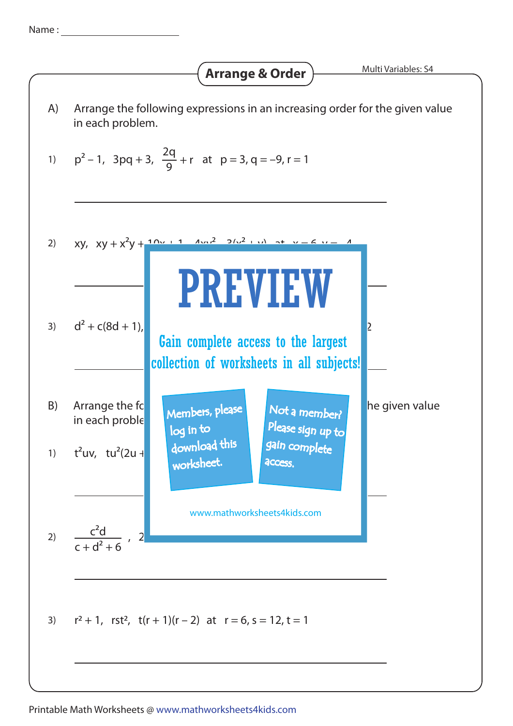